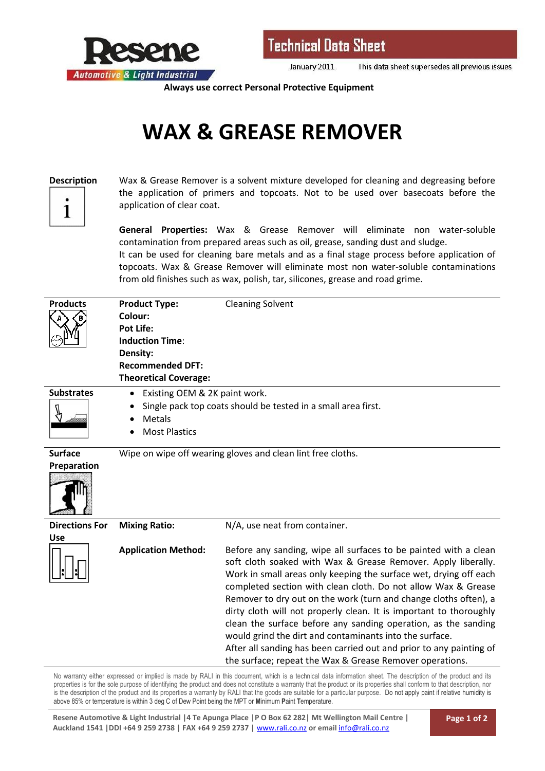

January 2011 This data sheet supersedes all previous issues

**Always use correct Personal Protective Equipment**

## **WAX & GREASE REMOVER**



**Description** Wax & Grease Remover is a solvent mixture developed for cleaning and degreasing before the application of primers and topcoats. Not to be used over basecoats before the application of clear coat.

> **General Properties:** Wax & Grease Remover will eliminate non water-soluble contamination from prepared areas such as oil, grease, sanding dust and sludge.

> It can be used for cleaning bare metals and as a final stage process before application of topcoats. Wax & Grease Remover will eliminate most non water-soluble contaminations from old finishes such as wax, polish, tar, silicones, grease and road grime.

| <b>Products</b>                                                                                                                                               | <b>Product Type:</b>                                        | <b>Cleaning Solvent</b>                                                                                                                                                                                                                                                                                                                                                                                                                                                                                                                                                                                                                                                           |  |
|---------------------------------------------------------------------------------------------------------------------------------------------------------------|-------------------------------------------------------------|-----------------------------------------------------------------------------------------------------------------------------------------------------------------------------------------------------------------------------------------------------------------------------------------------------------------------------------------------------------------------------------------------------------------------------------------------------------------------------------------------------------------------------------------------------------------------------------------------------------------------------------------------------------------------------------|--|
|                                                                                                                                                               | Colour:<br><b>Pot Life:</b>                                 |                                                                                                                                                                                                                                                                                                                                                                                                                                                                                                                                                                                                                                                                                   |  |
|                                                                                                                                                               | <b>Induction Time:</b>                                      |                                                                                                                                                                                                                                                                                                                                                                                                                                                                                                                                                                                                                                                                                   |  |
|                                                                                                                                                               | Density:                                                    |                                                                                                                                                                                                                                                                                                                                                                                                                                                                                                                                                                                                                                                                                   |  |
|                                                                                                                                                               | <b>Recommended DFT:</b>                                     |                                                                                                                                                                                                                                                                                                                                                                                                                                                                                                                                                                                                                                                                                   |  |
|                                                                                                                                                               | <b>Theoretical Coverage:</b>                                |                                                                                                                                                                                                                                                                                                                                                                                                                                                                                                                                                                                                                                                                                   |  |
| <b>Substrates</b>                                                                                                                                             | Existing OEM & 2K paint work.<br>٠                          |                                                                                                                                                                                                                                                                                                                                                                                                                                                                                                                                                                                                                                                                                   |  |
|                                                                                                                                                               | <b>Metals</b>                                               | Single pack top coats should be tested in a small area first.                                                                                                                                                                                                                                                                                                                                                                                                                                                                                                                                                                                                                     |  |
|                                                                                                                                                               | <b>Most Plastics</b>                                        |                                                                                                                                                                                                                                                                                                                                                                                                                                                                                                                                                                                                                                                                                   |  |
| <b>Surface</b>                                                                                                                                                |                                                             |                                                                                                                                                                                                                                                                                                                                                                                                                                                                                                                                                                                                                                                                                   |  |
|                                                                                                                                                               | Wipe on wipe off wearing gloves and clean lint free cloths. |                                                                                                                                                                                                                                                                                                                                                                                                                                                                                                                                                                                                                                                                                   |  |
| Preparation                                                                                                                                                   |                                                             |                                                                                                                                                                                                                                                                                                                                                                                                                                                                                                                                                                                                                                                                                   |  |
| <b>Directions For</b><br><b>Use</b>                                                                                                                           | <b>Mixing Ratio:</b>                                        | N/A, use neat from container.                                                                                                                                                                                                                                                                                                                                                                                                                                                                                                                                                                                                                                                     |  |
|                                                                                                                                                               | <b>Application Method:</b>                                  | Before any sanding, wipe all surfaces to be painted with a clean<br>soft cloth soaked with Wax & Grease Remover. Apply liberally.<br>Work in small areas only keeping the surface wet, drying off each<br>completed section with clean cloth. Do not allow Wax & Grease<br>Remover to dry out on the work (turn and change cloths often), a<br>dirty cloth will not properly clean. It is important to thoroughly<br>clean the surface before any sanding operation, as the sanding<br>would grind the dirt and contaminants into the surface.<br>After all sanding has been carried out and prior to any painting of<br>the surface; repeat the Wax & Grease Remover operations. |  |
| No warranty either expressed or implied is made by RALI in this document, which is a technical data information sheet. The description of the product and its |                                                             |                                                                                                                                                                                                                                                                                                                                                                                                                                                                                                                                                                                                                                                                                   |  |

No warranty either expressed or implied is made by RALI in this document, which is a technical data information sheet. The description of the product and its properties is for the sole purpose of identifying the product and does not constitute a warranty that the product or its properties shall conform to that description, nor is the description of the product and its properties a warranty by RALI that the goods are suitable for a particular purpose. Do not apply paint if relative humidity is above 85% or temperature is within 3 deg C of Dew Point being the MPT or **M**inimum **P**aint **T**emperature.

**Resene Automotive & Light Industrial |4 Te Apunga Place |P O Box 62 282| Mt Wellington Mail Centre | Auckland 1541 |DDI +64 9 259 2738 | FAX +64 9 259 2737 |** www.rali.co.nz **or email** info@rali.co.nz